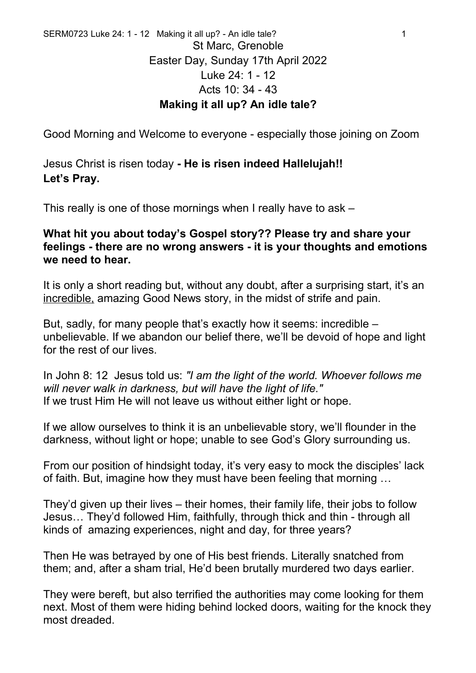Good Morning and Welcome to everyone - especially those joining on Zoom

Jesus Christ is risen today **- He is risen indeed Hallelujah!! Let's Pray.**

This really is one of those mornings when I really have to ask –

## **What hit you about today's Gospel story?? Please try and share your feelings - there are no wrong answers - it is your thoughts and emotions we need to hear.**

It is only a short reading but, without any doubt, after a surprising start, it's an incredible, amazing Good News story, in the midst of strife and pain.

But, sadly, for many people that's exactly how it seems: incredible – unbelievable. If we abandon our belief there, we'll be devoid of hope and light for the rest of our lives.

In John 8: 12 Jesus told us: *"I am the light of the world. Whoever follows me will never walk in darkness, but will have the light of life."*  If we trust Him He will not leave us without either light or hope.

If we allow ourselves to think it is an unbelievable story, we'll flounder in the darkness, without light or hope; unable to see God's Glory surrounding us.

From our position of hindsight today, it's very easy to mock the disciples' lack of faith. But, imagine how they must have been feeling that morning …

They'd given up their lives – their homes, their family life, their jobs to follow Jesus… They'd followed Him, faithfully, through thick and thin - through all kinds of amazing experiences, night and day, for three years?

Then He was betrayed by one of His best friends. Literally snatched from them; and, after a sham trial, He'd been brutally murdered two days earlier.

They were bereft, but also terrified the authorities may come looking for them next. Most of them were hiding behind locked doors, waiting for the knock they most dreaded.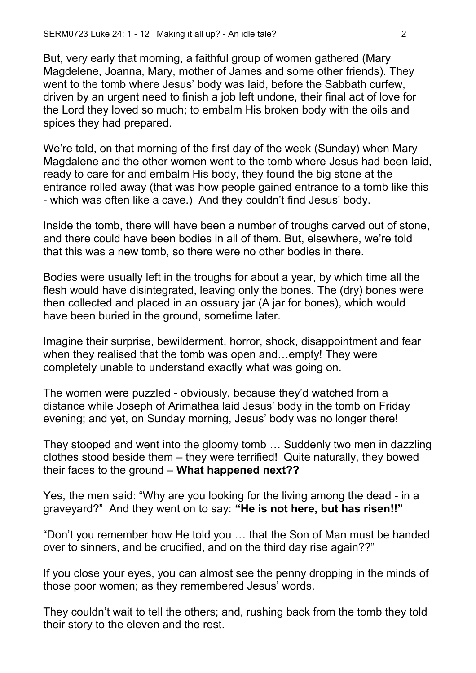But, very early that morning, a faithful group of women gathered (Mary Magdelene, Joanna, Mary, mother of James and some other friends). They went to the tomb where Jesus' body was laid, before the Sabbath curfew, driven by an urgent need to finish a job left undone, their final act of love for the Lord they loved so much; to embalm His broken body with the oils and spices they had prepared.

We're told, on that morning of the first day of the week (Sunday) when Mary Magdalene and the other women went to the tomb where Jesus had been laid, ready to care for and embalm His body, they found the big stone at the entrance rolled away (that was how people gained entrance to a tomb like this - which was often like a cave.) And they couldn't find Jesus' body.

Inside the tomb, there will have been a number of troughs carved out of stone, and there could have been bodies in all of them. But, elsewhere, we're told that this was a new tomb, so there were no other bodies in there.

Bodies were usually left in the troughs for about a year, by which time all the flesh would have disintegrated, leaving only the bones. The (dry) bones were then collected and placed in an ossuary jar (A jar for bones), which would have been buried in the ground, sometime later.

Imagine their surprise, bewilderment, horror, shock, disappointment and fear when they realised that the tomb was open and…empty! They were completely unable to understand exactly what was going on.

The women were puzzled - obviously, because they'd watched from a distance while Joseph of Arimathea laid Jesus' body in the tomb on Friday evening; and yet, on Sunday morning, Jesus' body was no longer there!

They stooped and went into the gloomy tomb … Suddenly two men in dazzling clothes stood beside them – they were terrified! Quite naturally, they bowed their faces to the ground – **What happened next??**

Yes, the men said: "Why are you looking for the living among the dead - in a graveyard?" And they went on to say: **"He is not here, but has risen!!"** 

"Don't you remember how He told you … that the Son of Man must be handed over to sinners, and be crucified, and on the third day rise again??"

If you close your eyes, you can almost see the penny dropping in the minds of those poor women; as they remembered Jesus' words.

They couldn't wait to tell the others; and, rushing back from the tomb they told their story to the eleven and the rest.